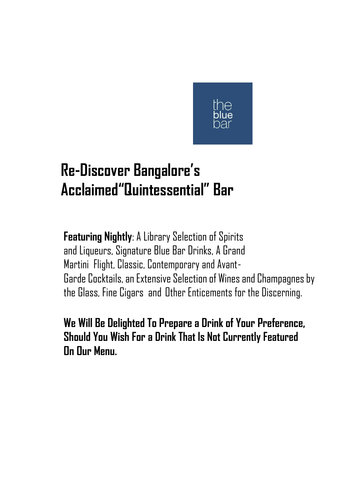

# **Re-Discover Bangalore's Acclaimed"Quintessential" Bar**

**Featuring Nightly**: A Library Selection of Spirits and Liqueurs, Signature Blue Bar Drinks, A Grand Martini Flight, Classic, Contemporary and Avant-Garde Cocktails, an Extensive Selection of Wines and Champagnes by the Glass, Fine Cigars and Other Enticements for the Discerning.

**We Will Be Delighted To Prepare a Drink of Your Preference, Should You Wish For a Drink That Is Not Currently Featured On Our Menu.**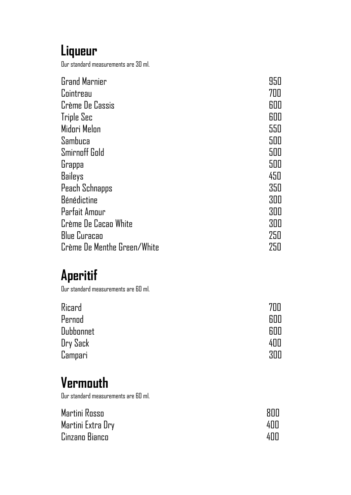#### **Liqueur**

Our standard measurements are 30 ml.

| <b>Grand Marnier</b>        | 950 |
|-----------------------------|-----|
| Cointreau                   | 700 |
| Crème De Cassis             | 600 |
| Triple Sec                  | 600 |
| Midori Melon                | 550 |
| Sambuca                     | 500 |
| <b>Smirnoff Gold</b>        | 500 |
| Grappa                      | 500 |
| Baileys                     | 450 |
| Peach Schnapps              | 350 |
| Bénédictine                 | 300 |
| Parfait Amour               | 300 |
| Crème De Cacao White        | 300 |
| <b>Blue Curacao</b>         | 250 |
| Crème De Menthe Green/White | 250 |

## **Aperitif**

Our standard measurements are 60 ml.

| Ricard           | 7NN        |
|------------------|------------|
| Pernod           | <b>RNN</b> |
| <b>Dubbonnet</b> | 600        |
| Dry Sack         | 400        |
| Campari          | 300        |

## **Vermouth**

Our standard measurements are 60 ml.

| Martini Rosso     | RNN |
|-------------------|-----|
| Martini Extra Dry | 400 |
| Cinzano Bianco    | 400 |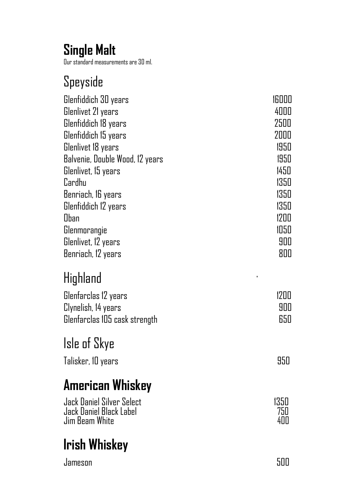## **Single Malt**

Our standard measurements are 30 ml.

## Speyside

| Glenfiddich 30 years            | 16000        |
|---------------------------------|--------------|
| Glenlivet 21 years              | 4000         |
| Glenfiddich 18 years            | 2500         |
| Glenfiddich 15 years            | 2000         |
| Glenlivet 18 years              | 1950         |
| Balvenie, Double Wood, 12 years | 1950         |
| Glenlivet, 15 years             | 1450         |
| Cardhu                          | 1350         |
| Benriach, 16 years              | 1350         |
| Glenfiddich 12 years            | 1350         |
| Oban                            | 1200         |
| Glenmorangie                    | 1050         |
| Glenlivet, 12 years             | 900          |
| Benriach, 12 years              | 800          |
| Highland                        | $\mathbf{I}$ |
|                                 |              |
| Glenfarclas 12 years            | 1200         |
| Clynelish, 14 years             | 900          |
| Glenfarclas 105 cask strength   | 650          |
| Isle of Skye                    |              |
|                                 |              |
| Talisker, 10 years              | 950          |
| <b>American Whiskey</b>         |              |
| Jack Daniel Silver Select       | 1350         |
| Jack Daniel Black Label         | 750          |
| Jim Beam White                  | 400          |
| <b>Irish Whiskey</b>            |              |
|                                 |              |
| Jameson                         | 500          |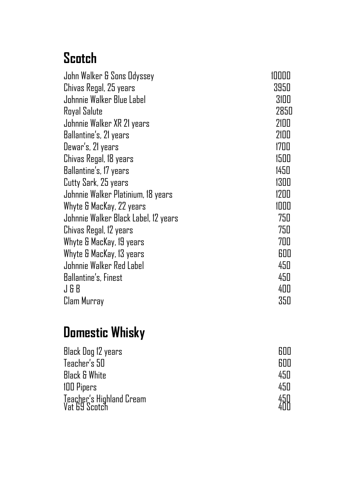## **Scotch**

| John Walker & Sons Odyssey           | 10000 |
|--------------------------------------|-------|
| Chivas Regal, 25 years               | 3950  |
| Johnnie Walker Blue Label            | 3100  |
| Royal Salute                         | 2850  |
| Johnnie Walker XR 21 years           | 2100  |
| Ballantine's, 21 years               | 2100  |
| Dewar's, 21 years                    | 1700  |
| Chivas Regal, 18 years               | 1500  |
| Ballantine's, 17 years               | 1450  |
| Cutty Sark, 25 years                 | 1300  |
| Johnnie Walker Platinium, 18 years   | 1200  |
| Whyte & MacKay, 22 years             | 1000  |
| Johnnie Walker Black Label, 12 years | 750   |
| Chivas Regal, 12 years               | 750   |
| Whyte & MacKay, 19 years             | 700   |
| Whyte & MacKay, 13 years             | 600   |
| Johnnie Walker Red Label             | 450   |
| <b>Ballantine's, Finest</b>          | 450   |
| J&B                                  | 400   |
| Clam Murray                          | 350   |

## **Domestic Whisky**

| Black Dog 12 years                        |             |
|-------------------------------------------|-------------|
| Teacher's 50                              | <b>RNN</b>  |
| <b>Black &amp; White</b>                  | 450         |
| 100 Pipers                                | 450         |
| Teacher's Highland Cream<br>Vat 69 Scotch | 45U<br>ДIII |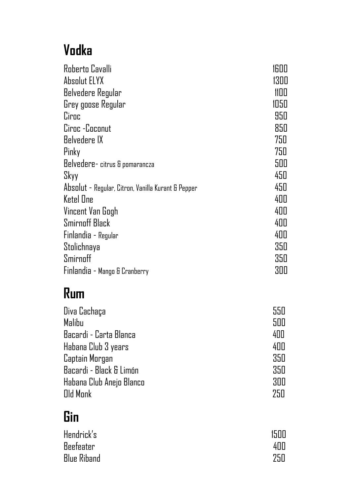# **Vodka**

| Roberto Cavalli                                    | 1600 |
|----------------------------------------------------|------|
| Absolut ELYX                                       | 1300 |
| Belvedere Regular                                  | 1100 |
| Grey goose Regular                                 | 1050 |
| Ciroc                                              | 950  |
| Ciroc -Coconut                                     | 850  |
| Belvedere IX                                       | 750  |
| Pinky                                              | 750  |
| Belvedere-citrus & pomarancza                      | 500  |
| Skyy                                               | 450  |
| Absolut - Regular, Citron, Vanilla Kurant & Pepper | 450  |
| Ketel One                                          | 400  |
| Vincent Van Gogh                                   | 400  |
| Smirnoff Black                                     | 400  |
| Finlandia - Regular                                | 400  |
| Stolichnaya                                        | 350  |
| Smirnoff                                           | 350  |
| Finlandia - Mango & Cranberry                      | 300  |

## **Rum**

| Diva Cachaça             | 550 |
|--------------------------|-----|
| Malibu                   | 500 |
| Bacardi - Carta Blanca   | 400 |
| Habana Club 3 years      | 400 |
| Captain Morgan           | 350 |
| Bacardi - Black & Limón  | 350 |
| Habana Club Anejo Blanco | 300 |
| Old Monk                 | 75N |

## **Gin**

| Hendrick's         | 1500 |
|--------------------|------|
| <b>Beefeater</b>   | 4ПП  |
| <b>Blue Riband</b> | 75N  |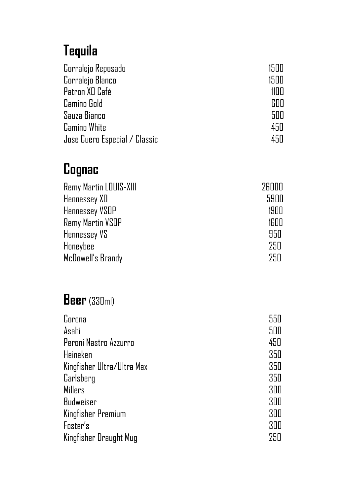## **Tequila**

| Corralejo Reposado            | 1500       |
|-------------------------------|------------|
| Corralejo Blanco              | 15NN       |
| Patron XD Café                | 11         |
| Camino Gold                   | <b>RNU</b> |
| Sauza Bianco                  | 500        |
| <b>Camino White</b>           | 450        |
| Jose Cuero Especial / Classic | 450        |

## **Cognac**

| Remy Martin LOUIS-XIII  | 26000 |
|-------------------------|-------|
| Hennessey XD            | 5900  |
| <b>Hennessey VSOP</b>   | 1900  |
| <b>Remy Martin VSOP</b> | 1600  |
| Hennessey VS            | 950   |
| Honeybee                | 250   |
| McDowell's Brandy       | 75N   |

#### **Beer**(330ml)

| Corona                     | 550 |
|----------------------------|-----|
| Asahi                      | 500 |
| Peroni Nastro Azzurro      | 450 |
| Heineken                   | 350 |
| Kingfisher Ultra/Ultra Max | 350 |
| Carlsberg                  | 350 |
| <b>Millers</b>             | 300 |
| <b>Budweiser</b>           | 300 |
| Kingfisher Premium         | 300 |
| Foster's                   | 300 |
| Kingfisher Draught Mug     | 250 |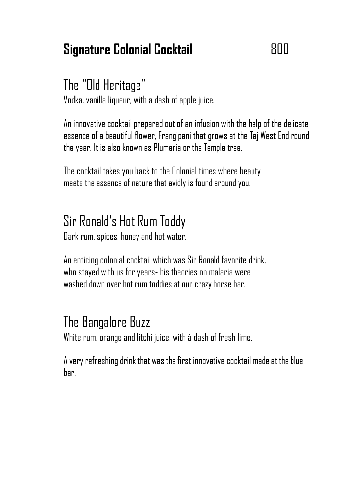#### **Signature Colonial Cocktail** 800

### The "Old Heritage"

Vodka, vanilla liqueur, with a dash of apple juice.

An innovative cocktail prepared out of an infusion with the help of the delicate essence of a beautiful flower, Frangipani that grows at the Taj West End round the year. It is also known as Plumeria or the Temple tree.

The cocktail takes you back to the Colonial times where beauty meets the essence of nature that avidly is found around you.

## Sir Ronald's Hot Rum Toddy

Dark rum, spices, honey and hot water.

An enticing colonial cocktail which was Sir Ronald favorite drink, who stayed with us for years- his theories on malaria were washed down over hot rum toddies at our crazy horse bar.

## The Bangalore Buzz

White rum, orange and litchi juice, with à dash of fresh lime.

A very refreshing drink that was the first innovative cocktail made at the blue bar.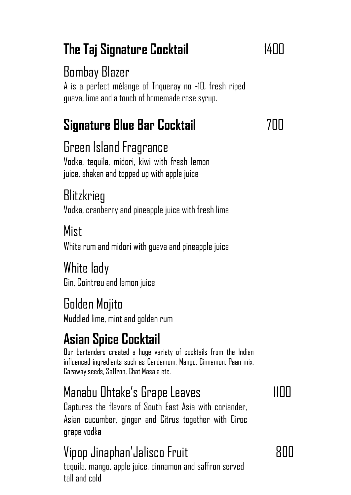# **The Taj Signature Cocktail** 1400

## Bombay Blazer

A is a perfect mélange of Tnqueray no -10, fresh riped guava, lime and a touch of homemade rose syrup.

# **Signature Blue Bar Cocktail** 700

#### Green Island Fragrance

Vodka, tequila, midori, kiwi with fresh lemon juice, shaken and topped up with apple juice

### **Blitzkrieg**

Vodka, cranberry and pineapple juice with fresh lime

#### Mist

White rum and midori with guava and pineapple juice

#### White lady

Gin, Cointreu and lemon juice

#### Golden Mojito

Muddled lime, mint and golden rum

# **Asian Spice Cocktail**

Our bartenders created a huge variety of cocktails from the Indian influenced ingredients such as Cardamom, Mango, Cinnamon, Paan mix, Caraway seeds, Saffron, Chat Masala etc.

## Manabu Ohtake's Grape Leaves 1100

Captures the flavors of South East Asia with coriander, Asian cucumber, ginger and Citrus together with Ciroc grape vodka

## Vipop Jinaphan'Jalisco Fruit 1980 March 1980 March 1980 March 1980 March 1980 March 1980 March 1980 M

tequila, mango, apple juice, cinnamon and saffron served tall and cold

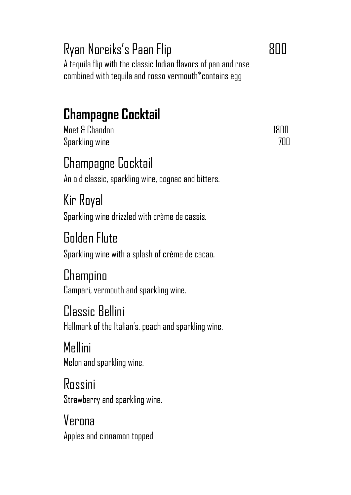### Ryan Noreiks's Paan Flip **800**

A tequila flip with the classic Indian flavors of pan and rose combined with tequila and rosso vermouth\*contains egg

## **Champagne Cocktail**

Moet & Chandon 1800 (1800) Sparkling wine 700

# Champagne Cocktail

An old classic, sparkling wine, cognac and bitters.

Kir Royal Sparkling wine drizzled with crème de cassis.

# Golden Flute

Sparkling wine with a splash of crème de cacao.

#### Champino

Campari, vermouth and sparkling wine.

#### Classic Bellini

Hallmark of the Italian's, peach and sparkling wine.

# Mellini

Melon and sparkling wine.

#### Rossini Strawberry and sparkling wine.

Verona Apples and cinnamon topped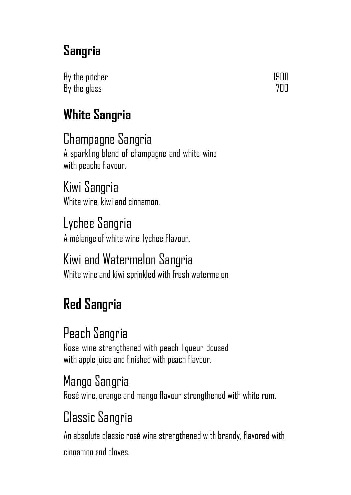## **Sangria**

By the pitcher 1900 and the state of the 1900 and 1900 and 1900 and 1900 and 1900 and 1900 and 1900 and 1900 and 1900 and 1900 and 1900 and 1900 and 1900 and 1900 and 1900 and 1900 and 1900 and 1900 and 1900 and 1900 and 1 By the glass **700** 

# **White Sangria**

Champagne Sangria A sparkling blend of champagne and white wine with peache flavour.

Kiwi Sangria White wine, kiwi and cinnamon.

Lychee Sangria A mélange of white wine, lychee Flavour.

Kiwi and Watermelon Sangria White wine and kiwi sprinkled with fresh watermelon

# **Red Sangria**

## Peach Sangria

Rose wine strengthened with peach liqueur doused with apple juice and finished with peach flavour.

### Mango Sangria

Rosé wine, orange and mango flavour strengthened with white rum.

### Classic Sangria

An absolute classic rosé wine strengthened with brandy, flavored with cinnamon and cloves.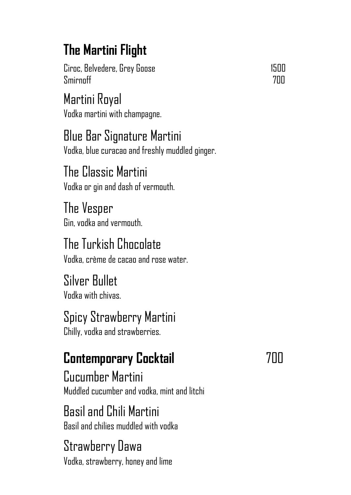# **The Martini Flight**

Ciroc, Belvedere, Grey Goose 1500 Smirnoff 700

Martini Royal Vodka martini with champagne.

Blue Bar Signature Martini Vodka, blue curacao and freshly muddled ginger.

The Classic Martini Vodka or gin and dash of vermouth.

The Vesper Gin, vodka and vermouth.

The Turkish Chocolate Vodka, crème de cacao and rose water.

Silver Bullet Vodka with chivas.

#### Spicy Strawberry Martini

Chilly, vodka and strawberries.

# **Contemporary Cocktail** 700

Cucumber Martini Muddled cucumber and vodka, mint and litchi

Basil and Chili Martini Basil and chilies muddled with vodka

#### Strawberry Dawa Vodka, strawberry, honey and lime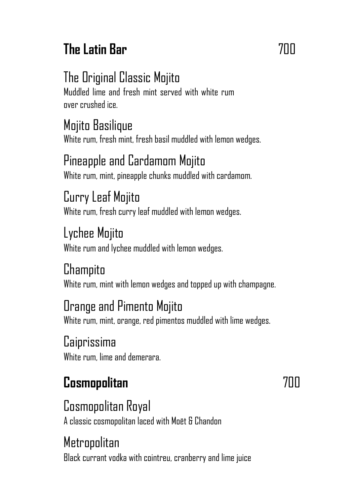# **The Latin Bar** 700

## The Original Classic Mojito

Muddled lime and fresh mint served with white rum over crushed ice.

#### Mojito Basilique

White rum, fresh mint, fresh basil muddled with lemon wedges.

#### Pineapple and Cardamom Mojito

White rum, mint, pineapple chunks muddled with cardamom.

### Curry Leaf Mojito

White rum, fresh curry leaf muddled with lemon wedges.

#### Lychee Mojito

White rum and lychee muddled with lemon wedges.

#### **Champito**

White rum, mint with lemon wedges and topped up with champagne.

#### Orange and Pimento Mojito

White rum, mint, orange, red pimentos muddled with lime wedges.

#### Caiprissima

White rum, lime and demerara.

## **Cosmopolitan** 700

#### Cosmopolitan Royal

A classic cosmopolitan laced with Moët & Chandon

#### Metropolitan

Black currant vodka with cointreu, cranberry and lime juice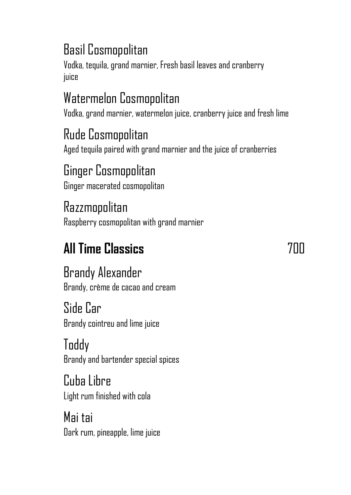### Basil Cosmopolitan

Vodka, tequila, grand marnier, Fresh basil leaves and cranberry juice

## Watermelon Cosmopolitan

Vodka, grand marnier, watermelon juice, cranberry juice and fresh lime

### Rude Cosmopolitan

Aged tequila paired with grand marnier and the juice of cranberries

#### Ginger Cosmopolitan

Ginger macerated cosmopolitan

#### Razzmopolitan

Raspberry cosmopolitan with grand marnier

# **All Time Classics** 700

Brandy Alexander Brandy, crème de cacao and cream

Side Car Brandy cointreu and lime juice

Toddy Brandy and bartender special spices

Cuba Libre Light rum finished with cola

Mai tai Dark rum, pineapple, lime juice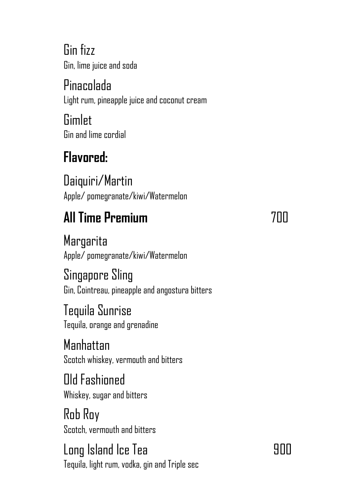Gin fizz Gin, lime juice and soda

Pinacolada Light rum, pineapple juice and coconut cream

**Gimlet** Gin and lime cordial

# **Flavored:**

Daiquiri/Martin Apple/ pomegranate/kiwi/Watermelon

# **All Time Premium** 700

**Margarita** Apple/ pomegranate/kiwi/Watermelon

Singapore Sling Gin, Cointreau, pineapple and angostura bitters

Tequila Sunrise Tequila, orange and grenadine

Manhattan Scotch whiskey, vermouth and bitters

Old Fashioned Whiskey, sugar and bitters

Rob Roy Scotch, vermouth and bitters

Long Island Ice Tea 900 Tequila, light rum, vodka, gin and Triple sec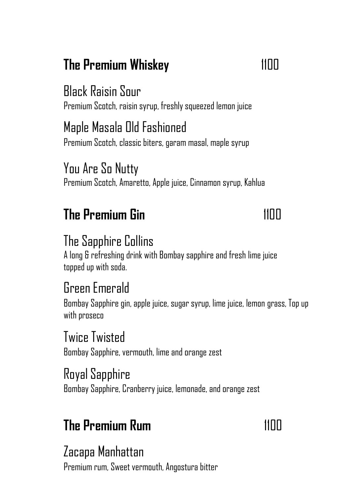## **The Premium Whiskey** 1100

#### Black Raisin Sour

Premium Scotch, raisin syrup, freshly squeezed lemon juice

### Maple Masala Old Fashioned

Premium Scotch, classic biters, garam masal, maple syrup

#### You Are So Nutty

Premium Scotch, Amaretto, Apple juice, Cinnamon syrup, Kahlua

### **The Premium Gin** 1100

#### The Sapphire Collins

A long & refreshing drink with Bombay sapphire and fresh lime juice topped up with soda.

#### Green Emerald

Bombay Sapphire gin, apple juice, sugar syrup, lime juice, lemon grass, Top up with proseco

#### Twice Twisted

Bombay Sapphire, vermouth, lime and orange zest

#### Royal Sapphire

Bombay Sapphire, Cranberry juice, lemonade, and orange zest

### **The Premium Rum** 1100

#### Zacapa Manhattan

Premium rum, Sweet vermouth, Angostura bitter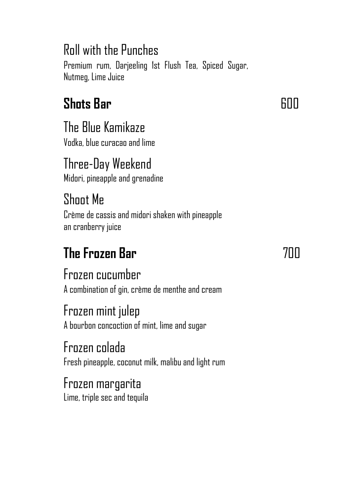### Roll with the Punches

Premium rum, Darjeeling 1st Flush Tea, Spiced Sugar, Nutmeg, Lime Juice

## **Shots Bar** 600 **Contract Shots Bar** 600 **Contract Bar** 600 **Contract Bar**

The Blue Kamikaze

Vodka, blue curacao and lime

Three-Day Weekend Midori, pineapple and grenadine

## Shoot Me

Crème de cassis and midori shaken with pineapple an cranberry juice

# **The Frozen Bar** 700

#### Frozen cucumber

A combination of gin, crème de menthe and cream

#### Frozen mint julep

A bourbon concoction of mint, lime and sugar

#### Frozen colada

Fresh pineapple, coconut milk, malibu and light rum

#### Frozen margarita Lime, triple sec and tequila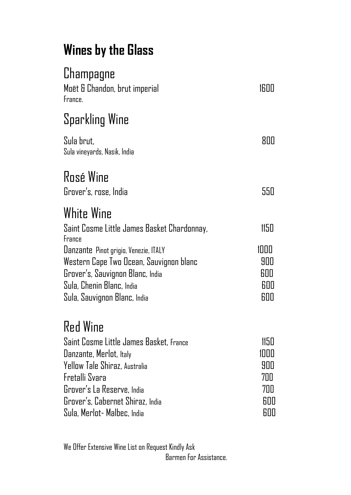## **Wines by the Glass**

| Champagne<br>Moët & Chandon, brut imperial<br>France.                                                                                                                                                                                      | 1600                                            |
|--------------------------------------------------------------------------------------------------------------------------------------------------------------------------------------------------------------------------------------------|-------------------------------------------------|
| Sparkling Wine                                                                                                                                                                                                                             |                                                 |
| Sula brut.<br>Sula vineyards, Nasik, India                                                                                                                                                                                                 | 800                                             |
| <b>Rosé Wine</b><br>Grover's, rose, India                                                                                                                                                                                                  | 550                                             |
| <b>White Wine</b>                                                                                                                                                                                                                          |                                                 |
| Saint Cosme Little James Basket Chardonnay,<br>France<br>Uanzante Pinot grigio, Venezie, ITALY<br>Western Cape Two Ocean, Sauvignon blanc<br>Grover's, Sauvignon Blanc, India<br>Sula, Chenin Blanc, India<br>Sula, Sauvignon Blanc, India | 1150<br>1000<br>900<br>600<br>600<br>600        |
| <b>Red Wine</b><br>Saint Cosme Little James Basket, France<br>Danzante, Merlot, Italy<br>Yellow Tale Shiraz, Australia<br>Fretalli Svara<br>Grover's La Reserve, India<br>Grover's, Cabernet Shiraz, India<br>Sula, Merlot- Malbec, India  | 1150<br>1000<br>900<br>700<br>700<br>600<br>600 |

We Offer Extensive Wine List on Request Kindly Ask Barmen For Assistance.